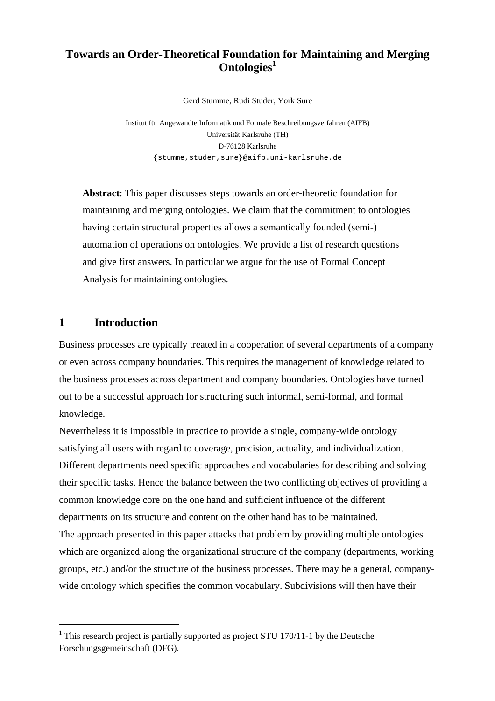# **Towards an Order-Theoretical Foundation for Maintaining and Merging Ontologies<sup>1</sup>**

Gerd Stumme, Rudi Studer, York Sure

Institut für Angewandte Informatik und Formale Beschreibungsverfahren (AIFB) Universität Karlsruhe (TH) D-76128 Karlsruhe {stumme,studer,sure}@aifb.uni-karlsruhe.de

**Abstract**: This paper discusses steps towards an order-theoretic foundation for maintaining and merging ontologies. We claim that the commitment to ontologies having certain structural properties allows a semantically founded (semi-) automation of operations on ontologies. We provide a list of research questions and give first answers. In particular we argue for the use of Formal Concept Analysis for maintaining ontologies.

## **1 Introduction**

 $\overline{a}$ 

Business processes are typically treated in a cooperation of several departments of a company or even across company boundaries. This requires the management of knowledge related to the business processes across department and company boundaries. Ontologies have turned out to be a successful approach for structuring such informal, semi-formal, and formal knowledge.

Nevertheless it is impossible in practice to provide a single, company-wide ontology satisfying all users with regard to coverage, precision, actuality, and individualization. Different departments need specific approaches and vocabularies for describing and solving their specific tasks. Hence the balance between the two conflicting objectives of providing a common knowledge core on the one hand and sufficient influence of the different departments on its structure and content on the other hand has to be maintained. The approach presented in this paper attacks that problem by providing multiple ontologies which are organized along the organizational structure of the company (departments, working groups, etc.) and/or the structure of the business processes. There may be a general, companywide ontology which specifies the common vocabulary. Subdivisions will then have their

<sup>&</sup>lt;sup>1</sup> This research project is partially supported as project STU 170/11-1 by the Deutsche Forschungsgemeinschaft (DFG).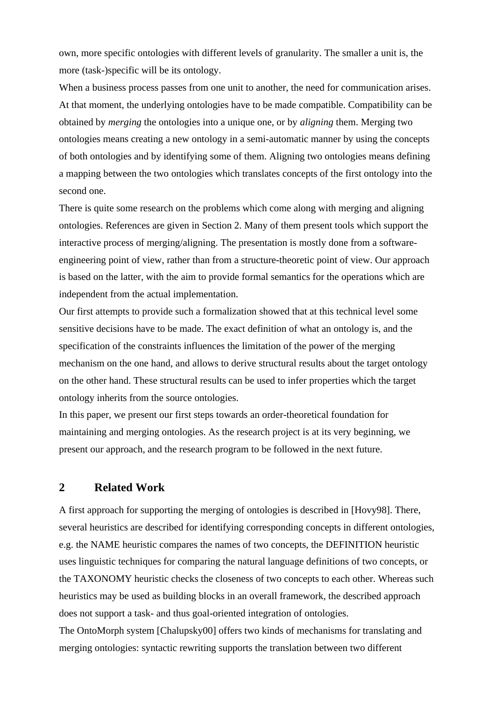own, more specific ontologies with different levels of granularity. The smaller a unit is, the more (task-)specific will be its ontology.

When a business process passes from one unit to another, the need for communication arises. At that moment, the underlying ontologies have to be made compatible. Compatibility can be obtained by *merging* the ontologies into a unique one, or by *aligning* them. Merging two ontologies means creating a new ontology in a semi-automatic manner by using the concepts of both ontologies and by identifying some of them. Aligning two ontologies means defining a mapping between the two ontologies which translates concepts of the first ontology into the second one.

There is quite some research on the problems which come along with merging and aligning ontologies. References are given in Section 2. Many of them present tools which support the interactive process of merging/aligning. The presentation is mostly done from a softwareengineering point of view, rather than from a structure-theoretic point of view. Our approach is based on the latter, with the aim to provide formal semantics for the operations which are independent from the actual implementation.

Our first attempts to provide such a formalization showed that at this technical level some sensitive decisions have to be made. The exact definition of what an ontology is, and the specification of the constraints influences the limitation of the power of the merging mechanism on the one hand, and allows to derive structural results about the target ontology on the other hand. These structural results can be used to infer properties which the target ontology inherits from the source ontologies.

In this paper, we present our first steps towards an order-theoretical foundation for maintaining and merging ontologies. As the research project is at its very beginning, we present our approach, and the research program to be followed in the next future.

#### **2 Related Work**

A first approach for supporting the merging of ontologies is described in [Hovy98]. There, several heuristics are described for identifying corresponding concepts in different ontologies, e.g. the NAME heuristic compares the names of two concepts, the DEFINITION heuristic uses linguistic techniques for comparing the natural language definitions of two concepts, or the TAXONOMY heuristic checks the closeness of two concepts to each other. Whereas such heuristics may be used as building blocks in an overall framework, the described approach does not support a task- and thus goal-oriented integration of ontologies.

The OntoMorph system [Chalupsky00] offers two kinds of mechanisms for translating and merging ontologies: syntactic rewriting supports the translation between two different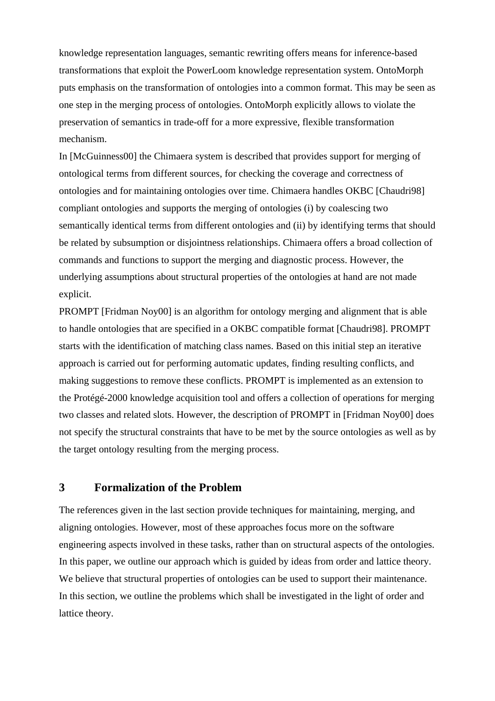knowledge representation languages, semantic rewriting offers means for inference-based transformations that exploit the PowerLoom knowledge representation system. OntoMorph puts emphasis on the transformation of ontologies into a common format. This may be seen as one step in the merging process of ontologies. OntoMorph explicitly allows to violate the preservation of semantics in trade-off for a more expressive, flexible transformation mechanism.

In [McGuinness00] the Chimaera system is described that provides support for merging of ontological terms from different sources, for checking the coverage and correctness of ontologies and for maintaining ontologies over time. Chimaera handles OKBC [Chaudri98] compliant ontologies and supports the merging of ontologies (i) by coalescing two semantically identical terms from different ontologies and (ii) by identifying terms that should be related by subsumption or disjointness relationships. Chimaera offers a broad collection of commands and functions to support the merging and diagnostic process. However, the underlying assumptions about structural properties of the ontologies at hand are not made explicit.

PROMPT [Fridman Noy00] is an algorithm for ontology merging and alignment that is able to handle ontologies that are specified in a OKBC compatible format [Chaudri98]. PROMPT starts with the identification of matching class names. Based on this initial step an iterative approach is carried out for performing automatic updates, finding resulting conflicts, and making suggestions to remove these conflicts. PROMPT is implemented as an extension to the Protégé-2000 knowledge acquisition tool and offers a collection of operations for merging two classes and related slots. However, the description of PROMPT in [Fridman Noy00] does not specify the structural constraints that have to be met by the source ontologies as well as by the target ontology resulting from the merging process.

## **3 Formalization of the Problem**

The references given in the last section provide techniques for maintaining, merging, and aligning ontologies. However, most of these approaches focus more on the software engineering aspects involved in these tasks, rather than on structural aspects of the ontologies. In this paper, we outline our approach which is guided by ideas from order and lattice theory. We believe that structural properties of ontologies can be used to support their maintenance. In this section, we outline the problems which shall be investigated in the light of order and lattice theory.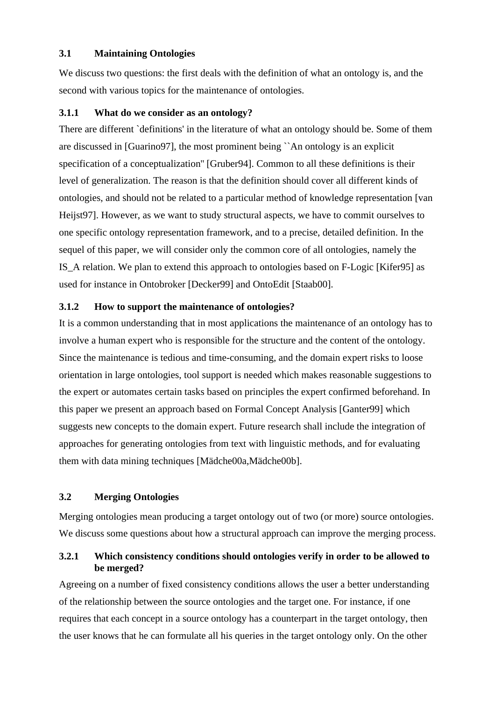#### **3.1 Maintaining Ontologies**

We discuss two questions: the first deals with the definition of what an ontology is, and the second with various topics for the maintenance of ontologies.

#### **3.1.1 What do we consider as an ontology?**

There are different `definitions' in the literature of what an ontology should be. Some of them are discussed in [Guarino97], the most prominent being ``An ontology is an explicit specification of a conceptualization'' [Gruber94]. Common to all these definitions is their level of generalization. The reason is that the definition should cover all different kinds of ontologies, and should not be related to a particular method of knowledge representation [van Heijst97]. However, as we want to study structural aspects, we have to commit ourselves to one specific ontology representation framework, and to a precise, detailed definition. In the sequel of this paper, we will consider only the common core of all ontologies, namely the IS\_A relation. We plan to extend this approach to ontologies based on F-Logic [Kifer95] as used for instance in Ontobroker [Decker99] and OntoEdit [Staab00].

## **3.1.2 How to support the maintenance of ontologies?**

It is a common understanding that in most applications the maintenance of an ontology has to involve a human expert who is responsible for the structure and the content of the ontology. Since the maintenance is tedious and time-consuming, and the domain expert risks to loose orientation in large ontologies, tool support is needed which makes reasonable suggestions to the expert or automates certain tasks based on principles the expert confirmed beforehand. In this paper we present an approach based on Formal Concept Analysis [Ganter99] which suggests new concepts to the domain expert. Future research shall include the integration of approaches for generating ontologies from text with linguistic methods, and for evaluating them with data mining techniques [Mädche00a,Mädche00b].

## **3.2 Merging Ontologies**

Merging ontologies mean producing a target ontology out of two (or more) source ontologies. We discuss some questions about how a structural approach can improve the merging process.

## **3.2.1 Which consistency conditions should ontologies verify in order to be allowed to be merged?**

Agreeing on a number of fixed consistency conditions allows the user a better understanding of the relationship between the source ontologies and the target one. For instance, if one requires that each concept in a source ontology has a counterpart in the target ontology, then the user knows that he can formulate all his queries in the target ontology only. On the other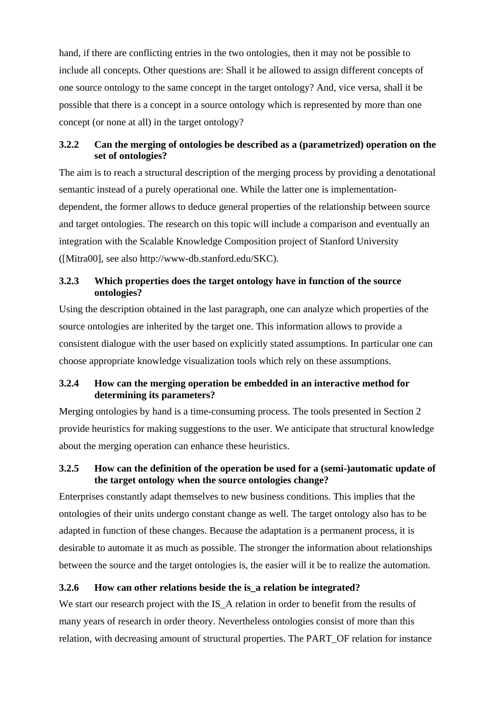hand, if there are conflicting entries in the two ontologies, then it may not be possible to include all concepts. Other questions are: Shall it be allowed to assign different concepts of one source ontology to the same concept in the target ontology? And, vice versa, shall it be possible that there is a concept in a source ontology which is represented by more than one concept (or none at all) in the target ontology?

## **3.2.2 Can the merging of ontologies be described as a (parametrized) operation on the set of ontologies?**

The aim is to reach a structural description of the merging process by providing a denotational semantic instead of a purely operational one. While the latter one is implementationdependent, the former allows to deduce general properties of the relationship between source and target ontologies. The research on this topic will include a comparison and eventually an integration with the Scalable Knowledge Composition project of Stanford University ([Mitra00], see also http://www-db.stanford.edu/SKC).

## **3.2.3 Which properties does the target ontology have in function of the source ontologies?**

Using the description obtained in the last paragraph, one can analyze which properties of the source ontologies are inherited by the target one. This information allows to provide a consistent dialogue with the user based on explicitly stated assumptions. In particular one can choose appropriate knowledge visualization tools which rely on these assumptions.

## **3.2.4 How can the merging operation be embedded in an interactive method for determining its parameters?**

Merging ontologies by hand is a time-consuming process. The tools presented in Section 2 provide heuristics for making suggestions to the user. We anticipate that structural knowledge about the merging operation can enhance these heuristics.

## **3.2.5 How can the definition of the operation be used for a (semi-)automatic update of the target ontology when the source ontologies change?**

Enterprises constantly adapt themselves to new business conditions. This implies that the ontologies of their units undergo constant change as well. The target ontology also has to be adapted in function of these changes. Because the adaptation is a permanent process, it is desirable to automate it as much as possible. The stronger the information about relationships between the source and the target ontologies is, the easier will it be to realize the automation.

# **3.2.6 How can other relations beside the is\_a relation be integrated?**

We start our research project with the IS\_A relation in order to benefit from the results of many years of research in order theory. Nevertheless ontologies consist of more than this relation, with decreasing amount of structural properties. The PART\_OF relation for instance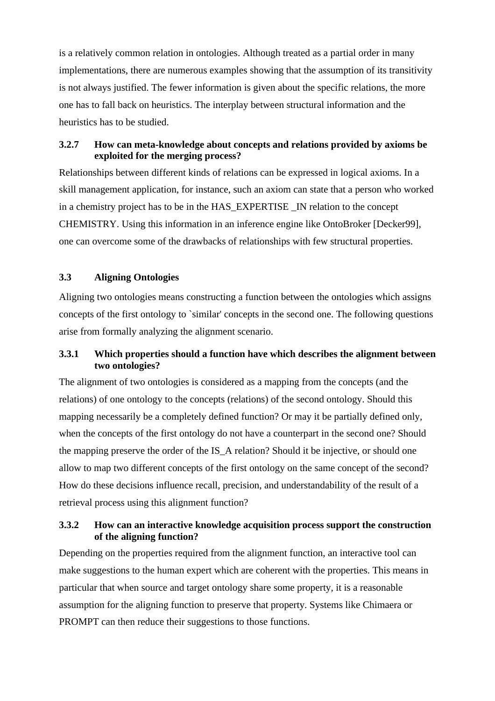is a relatively common relation in ontologies. Although treated as a partial order in many implementations, there are numerous examples showing that the assumption of its transitivity is not always justified. The fewer information is given about the specific relations, the more one has to fall back on heuristics. The interplay between structural information and the heuristics has to be studied.

#### **3.2.7 How can meta-knowledge about concepts and relations provided by axioms be exploited for the merging process?**

Relationships between different kinds of relations can be expressed in logical axioms. In a skill management application, for instance, such an axiom can state that a person who worked in a chemistry project has to be in the HAS\_EXPERTISE \_IN relation to the concept CHEMISTRY. Using this information in an inference engine like OntoBroker [Decker99], one can overcome some of the drawbacks of relationships with few structural properties.

#### **3.3 Aligning Ontologies**

Aligning two ontologies means constructing a function between the ontologies which assigns concepts of the first ontology to `similar' concepts in the second one. The following questions arise from formally analyzing the alignment scenario.

## **3.3.1 Which properties should a function have which describes the alignment between two ontologies?**

The alignment of two ontologies is considered as a mapping from the concepts (and the relations) of one ontology to the concepts (relations) of the second ontology. Should this mapping necessarily be a completely defined function? Or may it be partially defined only, when the concepts of the first ontology do not have a counterpart in the second one? Should the mapping preserve the order of the IS\_A relation? Should it be injective, or should one allow to map two different concepts of the first ontology on the same concept of the second? How do these decisions influence recall, precision, and understandability of the result of a retrieval process using this alignment function?

#### **3.3.2 How can an interactive knowledge acquisition process support the construction of the aligning function?**

Depending on the properties required from the alignment function, an interactive tool can make suggestions to the human expert which are coherent with the properties. This means in particular that when source and target ontology share some property, it is a reasonable assumption for the aligning function to preserve that property. Systems like Chimaera or PROMPT can then reduce their suggestions to those functions.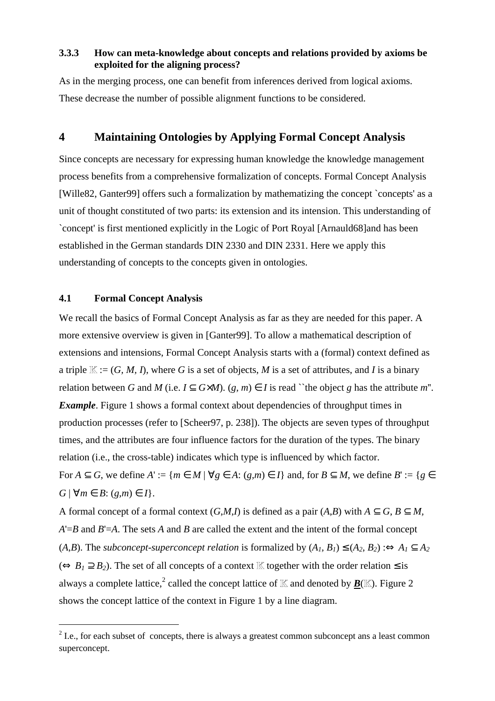#### **3.3.3 How can meta-knowledge about concepts and relations provided by axioms be exploited for the aligning process?**

As in the merging process, one can benefit from inferences derived from logical axioms. These decrease the number of possible alignment functions to be considered.

## **4 Maintaining Ontologies by Applying Formal Concept Analysis**

Since concepts are necessary for expressing human knowledge the knowledge management process benefits from a comprehensive formalization of concepts. Formal Concept Analysis [Wille82, Ganter99] offers such a formalization by mathematizing the concept `concepts' as a unit of thought constituted of two parts: its extension and its intension. This understanding of `concept' is first mentioned explicitly in the Logic of Port Royal [Arnauld68]and has been established in the German standards DIN 2330 and DIN 2331. Here we apply this understanding of concepts to the concepts given in ontologies.

#### **4.1 Formal Concept Analysis**

 $\overline{a}$ 

We recall the basics of Formal Concept Analysis as far as they are needed for this paper. A more extensive overview is given in [Ganter99]. To allow a mathematical description of extensions and intensions, Formal Concept Analysis starts with a (formal) context defined as a triple  $\mathbb{K} := (G, M, I)$ , where G is a set of objects, M is a set of attributes, and I is a binary relation between *G* and *M* (i.e.  $I \subseteq G \times M$ ). (*g, m*)  $\in I$  is read "the object *g* has the attribute *m*". *Example*. Figure 1 shows a formal context about dependencies of throughput times in production processes (refer to [Scheer97, p. 238]). The objects are seven types of throughput times, and the attributes are four influence factors for the duration of the types. The binary relation (i.e., the cross-table) indicates which type is influenced by which factor. For  $A \subseteq G$ , we define  $A' := \{m \in M \mid \forall g \in A : (g,m) \in I\}$  and, for  $B \subseteq M$ , we define  $B' := \{g \in A : (g, m) \in I\}$  $G \mid \forall m \in B: (g,m) \in I$ .

A formal concept of a formal context  $(G,M,I)$  is defined as a pair  $(A,B)$  with  $A \subseteq G$ ,  $B \subseteq M$ , *A*'=*B* and *B*'=*A*. The sets *A* and *B* are called the extent and the intent of the formal concept  $(A,B)$ . The *subconcept-superconcept relation* is formalized by  $(A_1, B_1) \leq (A_2, B_2)$ : $\Leftrightarrow A_1 \subseteq A_2$  $(\Leftrightarrow B_1 \supset B_2)$ . The set of all concepts of a context K together with the order relation  $\leq$  is always a complete lattice,<sup>2</sup> called the concept lattice of  $\mathbb K$  and denoted by  $\underline{B}(\mathbb K).$  Figure 2 shows the concept lattice of the context in Figure 1 by a line diagram.

 $2^{2}$  I.e., for each subset of concepts, there is always a greatest common subconcept ans a least common superconcept.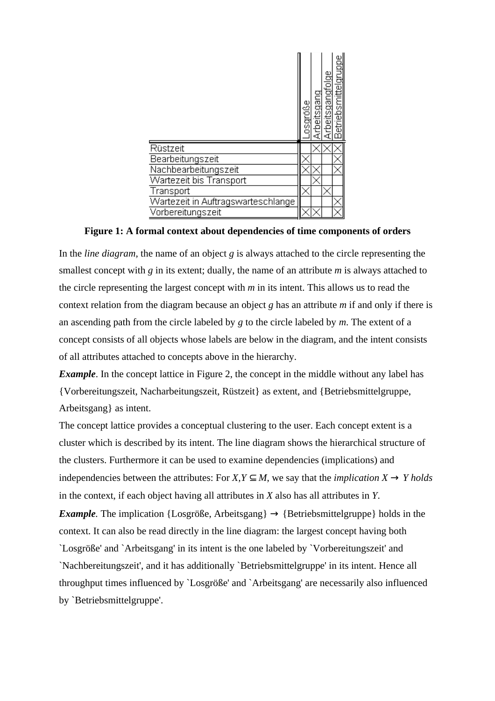|                                    | psgróße | Arbeitsgang | etriebsmittelgruppe<br>Arbeitsgangfolge |  |
|------------------------------------|---------|-------------|-----------------------------------------|--|
| Rüstzeit                           |         |             |                                         |  |
| Bearbeitungszeit                   |         |             |                                         |  |
| Nachbearbeitungszeit               |         |             |                                         |  |
| Wartezeit bis Transport            |         |             |                                         |  |
| <b>Transport</b>                   |         |             |                                         |  |
| Wartezeit in Auftragswarteschlange |         |             |                                         |  |
| Vorbereitungszeit                  |         |             |                                         |  |

**Figure 1: A formal context about dependencies of time components of orders**

In the *line diagram*, the name of an object *g* is always attached to the circle representing the smallest concept with *g* in its extent; dually, the name of an attribute *m* is always attached to the circle representing the largest concept with *m* in its intent. This allows us to read the context relation from the diagram because an object *g* has an attribute *m* if and only if there is an ascending path from the circle labeled by *g* to the circle labeled by *m*. The extent of a concept consists of all objects whose labels are below in the diagram, and the intent consists of all attributes attached to concepts above in the hierarchy.

*Example*. In the concept lattice in Figure 2, the concept in the middle without any label has {Vorbereitungszeit, Nacharbeitungszeit, Rüstzeit} as extent, and {Betriebsmittelgruppe, Arbeitsgang} as intent.

The concept lattice provides a conceptual clustering to the user. Each concept extent is a cluster which is described by its intent. The line diagram shows the hierarchical structure of the clusters. Furthermore it can be used to examine dependencies (implications) and independencies between the attributes: For *X, Y*  $\subseteq$  *M*, we say that the *implication X ® Y holds* in the context, if each object having all attributes in *X* also has all attributes in *Y*. *Example*. The implication {Losgröße, Arbeitsgang}  $\rightarrow$  {Betriebsmittelgruppe} holds in the context. It can also be read directly in the line diagram: the largest concept having both `Losgröße' and `Arbeitsgang' in its intent is the one labeled by `Vorbereitungszeit' and `Nachbereitungszeit', and it has additionally `Betriebsmittelgruppe' in its intent. Hence all throughput times influenced by `Losgröße' and `Arbeitsgang' are necessarily also influenced by `Betriebsmittelgruppe'.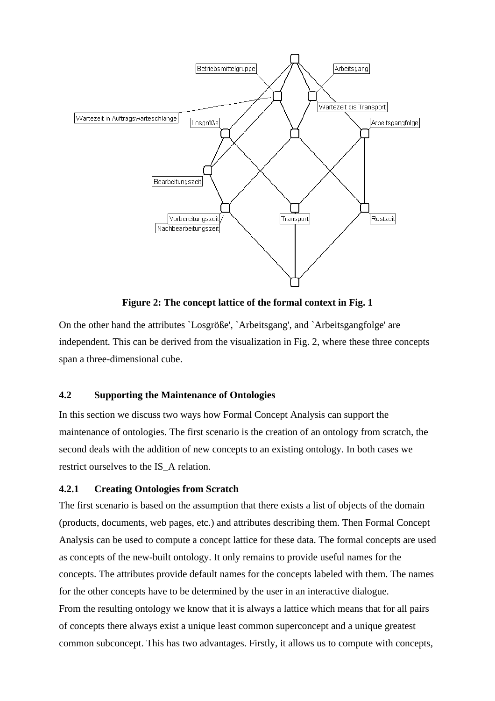

**Figure 2: The concept lattice of the formal context in Fig. 1**

On the other hand the attributes `Losgröße', `Arbeitsgang', and `Arbeitsgangfolge' are independent. This can be derived from the visualization in Fig. 2, where these three concepts span a three-dimensional cube.

#### **4.2 Supporting the Maintenance of Ontologies**

In this section we discuss two ways how Formal Concept Analysis can support the maintenance of ontologies. The first scenario is the creation of an ontology from scratch, the second deals with the addition of new concepts to an existing ontology. In both cases we restrict ourselves to the IS\_A relation.

#### **4.2.1 Creating Ontologies from Scratch**

The first scenario is based on the assumption that there exists a list of objects of the domain (products, documents, web pages, etc.) and attributes describing them. Then Formal Concept Analysis can be used to compute a concept lattice for these data. The formal concepts are used as concepts of the new-built ontology. It only remains to provide useful names for the concepts. The attributes provide default names for the concepts labeled with them. The names for the other concepts have to be determined by the user in an interactive dialogue. From the resulting ontology we know that it is always a lattice which means that for all pairs of concepts there always exist a unique least common superconcept and a unique greatest common subconcept. This has two advantages. Firstly, it allows us to compute with concepts,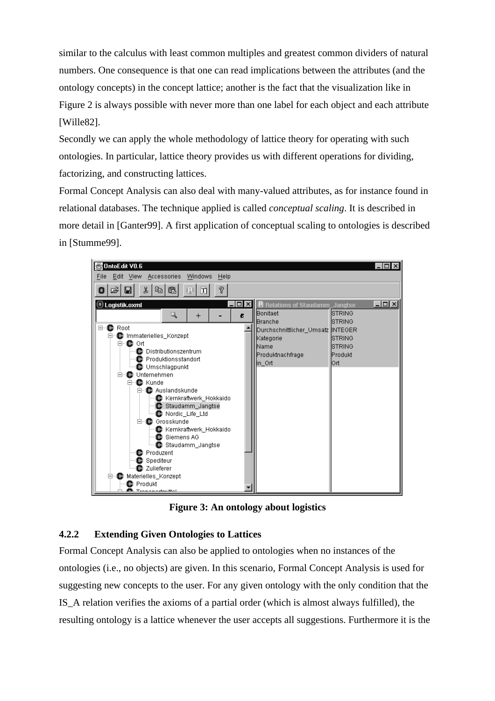similar to the calculus with least common multiples and greatest common dividers of natural numbers. One consequence is that one can read implications between the attributes (and the ontology concepts) in the concept lattice; another is the fact that the visualization like in Figure 2 is always possible with never more than one label for each object and each attribute [Wille82].

Secondly we can apply the whole methodology of lattice theory for operating with such ontologies. In particular, lattice theory provides us with different operations for dividing, factorizing, and constructing lattices.

Formal Concept Analysis can also deal with many-valued attributes, as for instance found in relational databases. The technique applied is called *conceptual scaling*. It is described in more detail in [Ganter99]. A first application of conceptual scaling to ontologies is described in [Stumme99].



**Figure 3: An ontology about logistics**

# **4.2.2 Extending Given Ontologies to Lattices**

Formal Concept Analysis can also be applied to ontologies when no instances of the ontologies (i.e., no objects) are given. In this scenario, Formal Concept Analysis is used for suggesting new concepts to the user. For any given ontology with the only condition that the IS\_A relation verifies the axioms of a partial order (which is almost always fulfilled), the resulting ontology is a lattice whenever the user accepts all suggestions. Furthermore it is the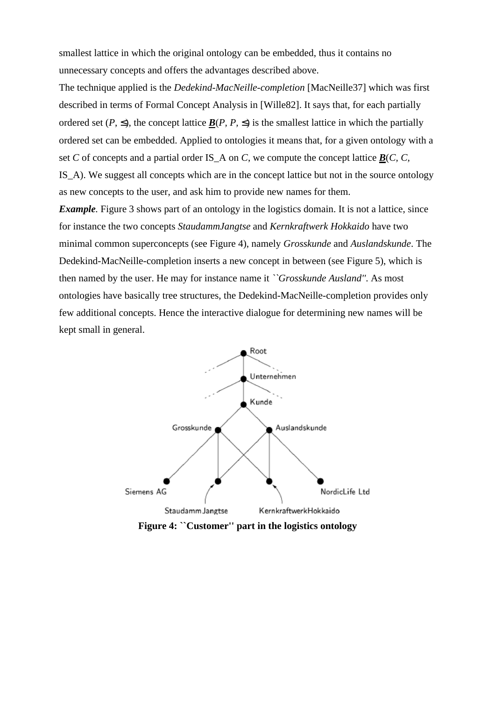smallest lattice in which the original ontology can be embedded, thus it contains no unnecessary concepts and offers the advantages described above.

The technique applied is the *Dedekind-MacNeille-completion* [MacNeille37] which was first described in terms of Formal Concept Analysis in [Wille82]. It says that, for each partially ordered set  $(P, \leq)$ , the concept lattice *B*(*P*, *P*,  $\leq$ ) is the smallest lattice in which the partially ordered set can be embedded. Applied to ontologies it means that, for a given ontology with a set *C* of concepts and a partial order IS\_A on *C*, we compute the concept lattice  $\underline{B}(C, C, C)$ IS\_A). We suggest all concepts which are in the concept lattice but not in the source ontology as new concepts to the user, and ask him to provide new names for them.

*Example*. Figure 3 shows part of an ontology in the logistics domain. It is not a lattice, since for instance the two concepts *StaudammJangtse* and *Kernkraftwerk Hokkaido* have two minimal common superconcepts (see Figure 4), namely *Grosskunde* and *Auslandskunde*. The Dedekind-MacNeille-completion inserts a new concept in between (see Figure 5), which is then named by the user. He may for instance name it *``Grosskunde Ausland''*. As most ontologies have basically tree structures, the Dedekind-MacNeille-completion provides only few additional concepts. Hence the interactive dialogue for determining new names will be kept small in general.



**Figure 4: ``Customer'' part in the logistics ontology**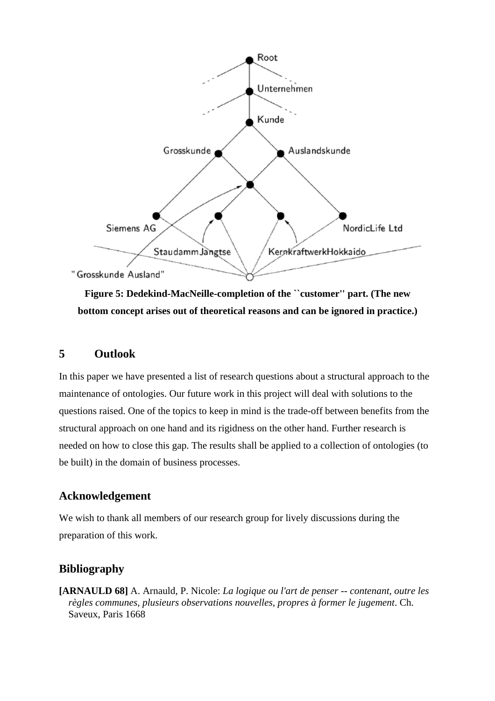

**Figure 5: Dedekind-MacNeille-completion of the ``customer'' part. (The new bottom concept arises out of theoretical reasons and can be ignored in practice.)**

## **5 Outlook**

In this paper we have presented a list of research questions about a structural approach to the maintenance of ontologies. Our future work in this project will deal with solutions to the questions raised. One of the topics to keep in mind is the trade-off between benefits from the structural approach on one hand and its rigidness on the other hand. Further research is needed on how to close this gap. The results shall be applied to a collection of ontologies (to be built) in the domain of business processes.

# **Acknowledgement**

We wish to thank all members of our research group for lively discussions during the preparation of this work.

# **Bibliography**

**[ARNAULD 68]** A. Arnauld, P. Nicole: *La logique ou l'art de penser -- contenant, outre les règles communes, plusieurs observations nouvelles, propres à former le jugement*. Ch. Saveux, Paris 1668